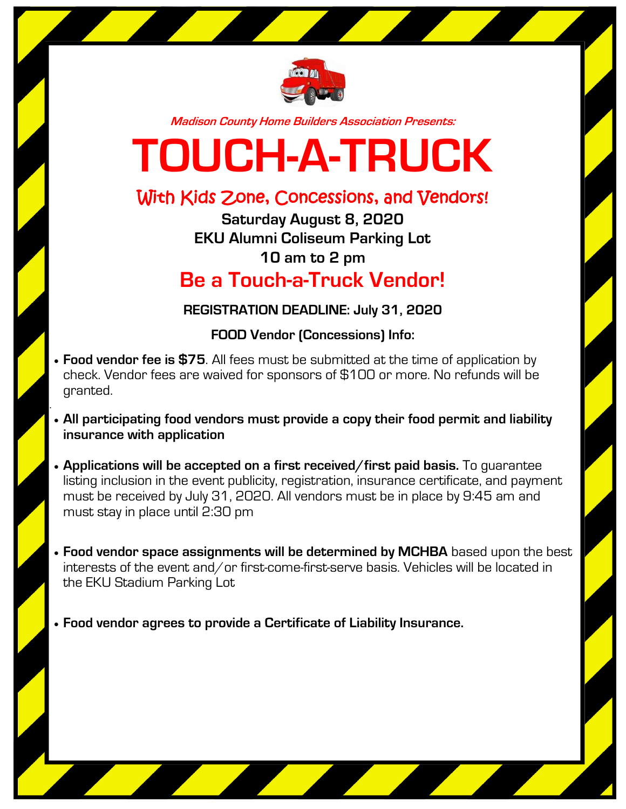

**Madison County Home Builders Association Presents:**

## **TOUCH-A-TRUCK**

## With Kids Zone, Concessions, and Vendors!

**Saturday August 8, 2020 EKU Alumni Coliseum Parking Lot 10 am to 2 pm Be a Touch-a-Truck Vendor!**

**REGISTRATION DEADLINE: July 31, 2020**

**FOOD Vendor (Concessions) Info:**

- **Food vendor fee is \$75**. All fees must be submitted at the time of application by check. Vendor fees are waived for sponsors of \$100 or more. No refunds will be granted.
- . **All participating food vendors must provide a copy their food permit and liability insurance with application**
	- **Applications will be accepted on a first received/first paid basis.** To guarantee listing inclusion in the event publicity, registration, insurance certificate, and payment must be received by July 31, 2020. All vendors must be in place by 9:45 am and must stay in place until 2:30 pm
	- **Food vendor space assignments will be determined by MCHBA** based upon the best interests of the event and/or first-come-first-serve basis. Vehicles will be located in the EKU Stadium Parking Lot
	- **Food vendor agrees to provide a Certificate of Liability Insurance.**